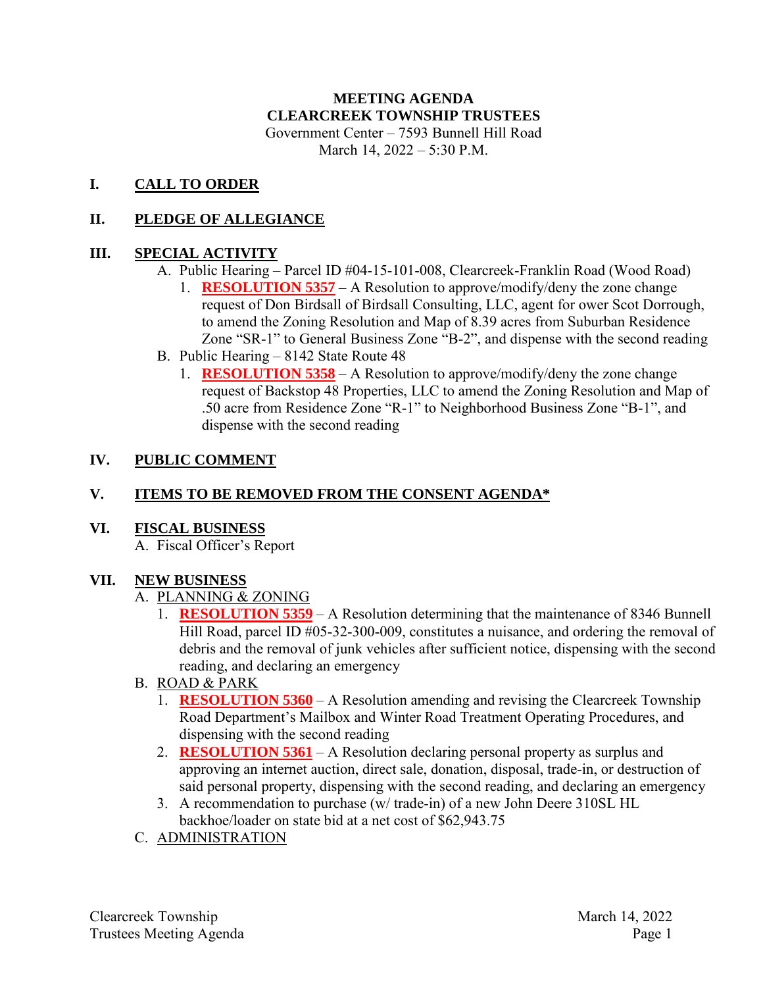# **MEETING AGENDA CLEARCREEK TOWNSHIP TRUSTEES**

Government Center – 7593 Bunnell Hill Road March 14, 2022 – 5:30 P.M.

#### **I. CALL TO ORDER**

### **II. PLEDGE OF ALLEGIANCE**

### **III. SPECIAL ACTIVITY**

- A. Public Hearing Parcel ID #04-15-101-008, Clearcreek-Franklin Road (Wood Road)
	- 1. **RESOLUTION 5357** A Resolution to approve/modify/deny the zone change request of Don Birdsall of Birdsall Consulting, LLC, agent for ower Scot Dorrough, to amend the Zoning Resolution and Map of 8.39 acres from Suburban Residence Zone "SR-1" to General Business Zone "B-2", and dispense with the second reading
- B. Public Hearing 8142 State Route 48
	- 1. **RESOLUTION 5358** A Resolution to approve/modify/deny the zone change request of Backstop 48 Properties, LLC to amend the Zoning Resolution and Map of .50 acre from Residence Zone "R-1" to Neighborhood Business Zone "B-1", and dispense with the second reading

### **IV. PUBLIC COMMENT**

# **V. ITEMS TO BE REMOVED FROM THE CONSENT AGENDA\***

**VI. FISCAL BUSINESS**

A. Fiscal Officer's Report

#### **VII. NEW BUSINESS**

- A. PLANNING & ZONING
	- 1. **RESOLUTION 5359** A Resolution determining that the maintenance of 8346 Bunnell Hill Road, parcel ID #05-32-300-009, constitutes a nuisance, and ordering the removal of debris and the removal of junk vehicles after sufficient notice, dispensing with the second reading, and declaring an emergency
- B. ROAD & PARK
	- 1. **RESOLUTION 5360** A Resolution amending and revising the Clearcreek Township Road Department's Mailbox and Winter Road Treatment Operating Procedures, and dispensing with the second reading
	- 2. **RESOLUTION 5361** A Resolution declaring personal property as surplus and approving an internet auction, direct sale, donation, disposal, trade-in, or destruction of said personal property, dispensing with the second reading, and declaring an emergency
	- 3. A recommendation to purchase (w/ trade-in) of a new John Deere 310SL HL backhoe/loader on state bid at a net cost of \$62,943.75
- C. ADMINISTRATION